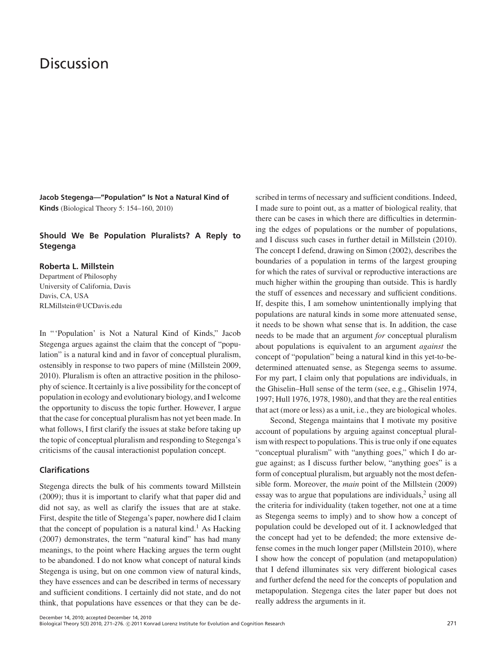# **Discussion**

**Jacob Stegenga—"Population" Is Not a Natural Kind of Kinds** (Biological Theory 5: 154–160, 2010)

**Should We Be Population Pluralists? A Reply to Stegenga**

## **Roberta L. Millstein**

Department of Philosophy University of California, Davis Davis, CA, USA RLMillstein@UCDavis.edu

In "'Population' is Not a Natural Kind of Kinds," Jacob Stegenga argues against the claim that the concept of "population" is a natural kind and in favor of conceptual pluralism, ostensibly in response to two papers of mine (Millstein 2009, 2010). Pluralism is often an attractive position in the philosophy of science. It certainly is a live possibility for the concept of population in ecology and evolutionary biology, and I welcome the opportunity to discuss the topic further. However, I argue that the case for conceptual pluralism has not yet been made. In what follows, I first clarify the issues at stake before taking up the topic of conceptual pluralism and responding to Stegenga's criticisms of the causal interactionist population concept.

### **Clarifications**

Stegenga directs the bulk of his comments toward Millstein (2009); thus it is important to clarify what that paper did and did not say, as well as clarify the issues that are at stake. First, despite the title of Stegenga's paper, nowhere did I claim that the concept of population is a natural kind.<sup>1</sup> As Hacking (2007) demonstrates, the term "natural kind" has had many meanings, to the point where Hacking argues the term ought to be abandoned. I do not know what concept of natural kinds Stegenga is using, but on one common view of natural kinds, they have essences and can be described in terms of necessary and sufficient conditions. I certainly did not state, and do not think, that populations have essences or that they can be de-

scribed in terms of necessary and sufficient conditions. Indeed, I made sure to point out, as a matter of biological reality, that there can be cases in which there are difficulties in determining the edges of populations or the number of populations, and I discuss such cases in further detail in Millstein (2010). The concept I defend, drawing on Simon (2002), describes the boundaries of a population in terms of the largest grouping for which the rates of survival or reproductive interactions are much higher within the grouping than outside. This is hardly the stuff of essences and necessary and sufficient conditions. If, despite this, I am somehow unintentionally implying that populations are natural kinds in some more attenuated sense, it needs to be shown what sense that is. In addition, the case needs to be made that an argument *for* conceptual pluralism about populations is equivalent to an argument *against* the concept of "population" being a natural kind in this yet-to-bedetermined attenuated sense, as Stegenga seems to assume. For my part, I claim only that populations are individuals, in the Ghiselin–Hull sense of the term (see, e.g., Ghiselin 1974, 1997; Hull 1976, 1978, 1980), and that they are the real entities that act (more or less) as a unit, i.e., they are biological wholes.

Second, Stegenga maintains that I motivate my positive account of populations by arguing against conceptual pluralism with respect to populations. This is true only if one equates "conceptual pluralism" with "anything goes," which I do argue against; as I discuss further below, "anything goes" is a form of conceptual pluralism, but arguably not the most defensible form. Moreover, the *main* point of the Millstein (2009) essay was to argue that populations are individuals, $\frac{2}{3}$  using all the criteria for individuality (taken together, not one at a time as Stegenga seems to imply) and to show how a concept of population could be developed out of it. I acknowledged that the concept had yet to be defended; the more extensive defense comes in the much longer paper (Millstein 2010), where I show how the concept of population (and metapopulation) that I defend illuminates six very different biological cases and further defend the need for the concepts of population and metapopulation. Stegenga cites the later paper but does not really address the arguments in it.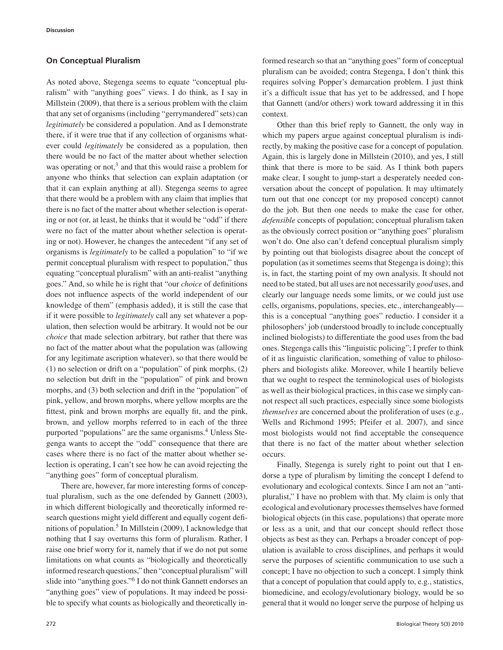## **On Conceptual Pluralism**

As noted above, Stegenga seems to equate "conceptual pluralism" with "anything goes" views. I do think, as I say in Millstein (2009), that there is a serious problem with the claim that any set of organisms (including "gerrymandered" sets) can *legitimately* be considered a population. And as I demonstrate there, if it were true that if any collection of organisms whatever could *legitimately* be considered as a population, then there would be no fact of the matter about whether selection was operating or not,<sup>3</sup> and that this would raise a problem for anyone who thinks that selection can explain adaptation (or that it can explain anything at all). Stegenga seems to agree that there would be a problem with any claim that implies that there is no fact of the matter about whether selection is operating or not (or, at least, he thinks that it would be "odd" if there were no fact of the matter about whether selection is operating or not). However, he changes the antecedent "if any set of organisms is *legitimately* to be called a population" to "if we permit conceptual pluralism with respect to population," thus equating "conceptual pluralism" with an anti-realist "anything goes." And, so while he is right that "our *choice* of definitions does not influence aspects of the world independent of our knowledge of them" (emphasis added), it is still the case that if it were possible to *legitimately* call any set whatever a population, then selection would be arbitrary. It would not be our *choice* that made selection arbitrary, but rather that there was no fact of the matter about what the population was (allowing for any legitimate ascription whatever), so that there would be (1) no selection or drift on a "population" of pink morphs, (2) no selection but drift in the "population" of pink and brown morphs, and (3) both selection and drift in the "population" of pink, yellow, and brown morphs, where yellow morphs are the fittest, pink and brown morphs are equally fit, and the pink, brown, and yellow morphs referred to in each of the three purported "populations" are the same organisms.<sup>4</sup> Unless Stegenga wants to accept the "odd" consequence that there are cases where there is no fact of the matter about whether selection is operating, I can't see how he can avoid rejecting the "anything goes" form of conceptual pluralism.

There are, however, far more interesting forms of conceptual pluralism, such as the one defended by Gannett (2003), in which different biologically and theoretically informed research questions might yield different and equally cogent definitions of population.<sup>5</sup> In Millstein (2009), I acknowledge that nothing that I say overturns this form of pluralism. Rather, I raise one brief worry for it, namely that if we do not put some limitations on what counts as "biologically and theoretically informed research questions," then "conceptual pluralism" will slide into "anything goes."6 I do not think Gannett endorses an "anything goes" view of populations. It may indeed be possible to specify what counts as biologically and theoretically informed research so that an "anything goes" form of conceptual pluralism can be avoided; contra Stegenga, I don't think this requires solving Popper's demarcation problem. I just think it's a difficult issue that has yet to be addressed, and I hope that Gannett (and/or others) work toward addressing it in this context.

Other than this brief reply to Gannett, the only way in which my papers argue against conceptual pluralism is indirectly, by making the positive case for a concept of population. Again, this is largely done in Millstein (2010), and yes, I still think that there is more to be said. As I think both papers make clear, I sought to jump-start a desperately needed conversation about the concept of population. It may ultimately turn out that one concept (or my proposed concept) cannot do the job. But then one needs to make the case for other, *defensible* concepts of population; conceptual pluralism taken as the obviously correct position or "anything goes" pluralism won't do. One also can't defend conceptual pluralism simply by pointing out that biologists disagree about the concept of population (as it sometimes seems that Stegenga is doing); this is, in fact, the starting point of my own analysis. It should not need to be stated, but all uses are not necessarily *good* uses, and clearly our language needs some limits, or we could just use cells, organisms, populations, species, etc., interchangeably this is a conceptual "anything goes" reductio. I consider it a philosophers' job (understood broadly to include conceptually inclined biologists) to differentiate the good uses from the bad ones. Stegenga calls this "linguistic policing"; I prefer to think of it as linguistic clarification, something of value to philosophers and biologists alike. Moreover, while I heartily believe that we ought to respect the terminological uses of biologists as well as their biological practices, in this case we simply cannot respect all such practices, especially since some biologists *themselves* are concerned about the proliferation of uses (e.g., Wells and Richmond 1995; Pfeifer et al. 2007), and since most biologists would not find acceptable the consequence that there is no fact of the matter about whether selection occurs.

Finally, Stegenga is surely right to point out that I endorse a type of pluralism by limiting the concept I defend to evolutionary and ecological contexts. Since I am not an "antipluralist," I have no problem with that. My claim is only that ecological and evolutionary processes themselves have formed biological objects (in this case, populations) that operate more or less as a unit, and that our concept should reflect those objects as best as they can. Perhaps a broader concept of population is available to cross disciplines, and perhaps it would serve the purposes of scientific communication to use such a concept; I have no objection to such a concept. I simply think that a concept of population that could apply to, e.g., statistics, biomedicine, and ecology/evolutionary biology, would be so general that it would no longer serve the purpose of helping us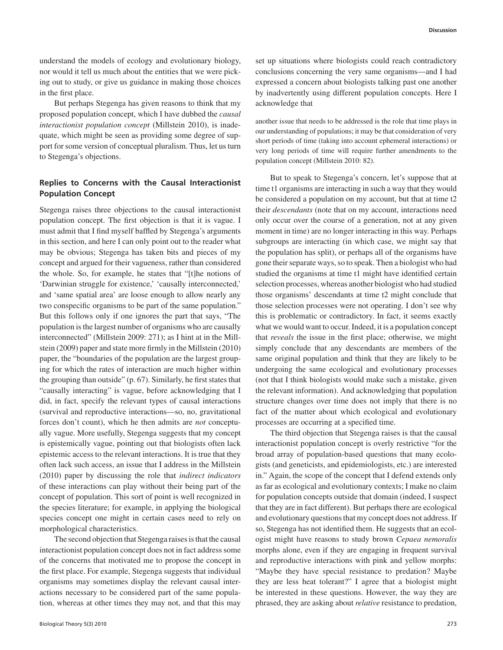understand the models of ecology and evolutionary biology, nor would it tell us much about the entities that we were picking out to study, or give us guidance in making those choices in the first place.

But perhaps Stegenga has given reasons to think that my proposed population concept, which I have dubbed the *causal interactionist population concept* (Millstein 2010), is inadequate, which might be seen as providing some degree of support for some version of conceptual pluralism. Thus, let us turn to Stegenga's objections.

## **Replies to Concerns with the Causal Interactionist Population Concept**

Stegenga raises three objections to the causal interactionist population concept. The first objection is that it is vague. I must admit that I find myself baffled by Stegenga's arguments in this section, and here I can only point out to the reader what may be obvious; Stegenga has taken bits and pieces of my concept and argued for their vagueness, rather than considered the whole. So, for example, he states that "[t]he notions of 'Darwinian struggle for existence,' 'causally interconnected,' and 'same spatial area' are loose enough to allow nearly any two conspecific organisms to be part of the same population." But this follows only if one ignores the part that says, "The population is the largest number of organisms who are causally interconnected" (Millstein 2009: 271); as I hint at in the Millstein (2009) paper and state more firmly in the Millstein (2010) paper, the "boundaries of the population are the largest grouping for which the rates of interaction are much higher within the grouping than outside" (p. 67). Similarly, he first states that "causally interacting" is vague, before acknowledging that I did, in fact, specify the relevant types of causal interactions (survival and reproductive interactions—so, no, gravitational forces don't count), which he then admits are *not* conceptually vague. More usefully, Stegenga suggests that my concept is epistemically vague, pointing out that biologists often lack epistemic access to the relevant interactions. It is true that they often lack such access, an issue that I address in the Millstein (2010) paper by discussing the role that *indirect indicators* of these interactions can play without their being part of the concept of population. This sort of point is well recognized in the species literature; for example, in applying the biological species concept one might in certain cases need to rely on morphological characteristics.

The second objection that Stegenga raises is that the causal interactionist population concept does not in fact address some of the concerns that motivated me to propose the concept in the first place. For example, Stegenga suggests that individual organisms may sometimes display the relevant causal interactions necessary to be considered part of the same population, whereas at other times they may not, and that this may

set up situations where biologists could reach contradictory conclusions concerning the very same organisms—and I had expressed a concern about biologists talking past one another by inadvertently using different population concepts. Here I acknowledge that

another issue that needs to be addressed is the role that time plays in our understanding of populations; it may be that consideration of very short periods of time (taking into account ephemeral interactions) or very long periods of time will require further amendments to the population concept (Millstein 2010: 82).

But to speak to Stegenga's concern, let's suppose that at time t1 organisms are interacting in such a way that they would be considered a population on my account, but that at time t2 their *descendants* (note that on my account, interactions need only occur over the course of a generation, not at any given moment in time) are no longer interacting in this way. Perhaps subgroups are interacting (in which case, we might say that the population has split), or perhaps all of the organisms have gone their separate ways, so to speak. Then a biologist who had studied the organisms at time t1 might have identified certain selection processes, whereas another biologist who had studied those organisms' descendants at time t2 might conclude that those selection processes were not operating. I don't see why this is problematic or contradictory. In fact, it seems exactly what we would want to occur. Indeed, it is a population concept that *reveals* the issue in the first place; otherwise, we might simply conclude that any descendants are members of the same original population and think that they are likely to be undergoing the same ecological and evolutionary processes (not that I think biologists would make such a mistake, given the relevant information). And acknowledging that population structure changes over time does not imply that there is no fact of the matter about which ecological and evolutionary processes are occurring at a specified time.

The third objection that Stegenga raises is that the causal interactionist population concept is overly restrictive "for the broad array of population-based questions that many ecologists (and geneticists, and epidemiologists, etc.) are interested in." Again, the scope of the concept that I defend extends only as far as ecological and evolutionary contexts; I make no claim for population concepts outside that domain (indeed, I suspect that they are in fact different). But perhaps there are ecological and evolutionary questions that my concept does not address. If so, Stegenga has not identified them. He suggests that an ecologist might have reasons to study brown *Cepaea nemoralis* morphs alone, even if they are engaging in frequent survival and reproductive interactions with pink and yellow morphs: "Maybe they have special resistance to predation? Maybe they are less heat tolerant?" I agree that a biologist might be interested in these questions. However, the way they are phrased, they are asking about *relative* resistance to predation,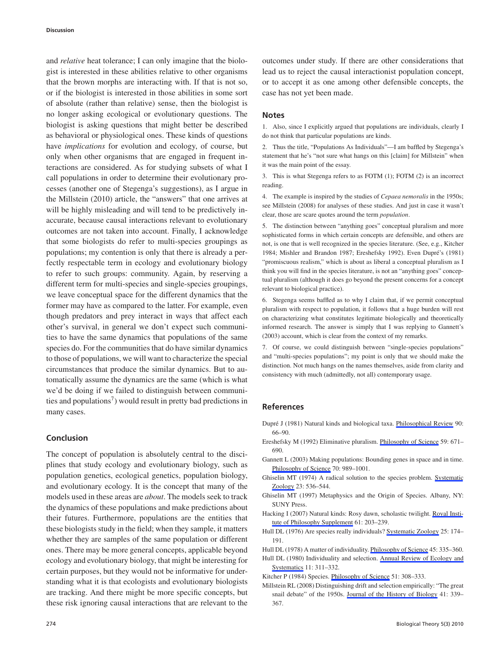and *relative* heat tolerance; I can only imagine that the biologist is interested in these abilities relative to other organisms that the brown morphs are interacting with. If that is not so, or if the biologist is interested in those abilities in some sort of absolute (rather than relative) sense, then the biologist is no longer asking ecological or evolutionary questions. The biologist is asking questions that might better be described as behavioral or physiological ones. These kinds of questions have *implications* for evolution and ecology, of course, but only when other organisms that are engaged in frequent interactions are considered. As for studying subsets of what I call populations in order to determine their evolutionary processes (another one of Stegenga's suggestions), as I argue in the Millstein (2010) article, the "answers" that one arrives at will be highly misleading and will tend to be predictively inaccurate, because causal interactions relevant to evolutionary outcomes are not taken into account. Finally, I acknowledge that some biologists do refer to multi-species groupings as populations; my contention is only that there is already a perfectly respectable term in ecology and evolutionary biology to refer to such groups: community. Again, by reserving a different term for multi-species and single-species groupings, we leave conceptual space for the different dynamics that the former may have as compared to the latter. For example, even though predators and prey interact in ways that affect each other's survival, in general we don't expect such communities to have the same dynamics that populations of the same species do. For the communities that do have similar dynamics to those of populations, we will want to characterize the special circumstances that produce the similar dynamics. But to automatically assume the dynamics are the same (which is what we'd be doing if we failed to distinguish between communities and populations<sup>7</sup>) would result in pretty bad predictions in many cases.

## **Conclusion**

The concept of population is absolutely central to the disciplines that study ecology and evolutionary biology, such as population genetics, ecological genetics, population biology, and evolutionary ecology. It is the concept that many of the models used in these areas are *about*. The models seek to track the dynamics of these populations and make predictions about their futures. Furthermore, populations are the entities that these biologists study in the field; when they sample, it matters whether they are samples of the same population or different ones. There may be more general concepts, applicable beyond ecology and evolutionary biology, that might be interesting for certain purposes, but they would not be informative for understanding what it is that ecologists and evolutionary biologists are tracking. And there might be more specific concepts, but these risk ignoring causal interactions that are relevant to the outcomes under study. If there are other considerations that lead us to reject the causal interactionist population concept, or to accept it as one among other defensible concepts, the case has not yet been made.

#### **Notes**

1. Also, since I explicitly argued that populations are individuals, clearly I do not think that particular populations are kinds.

2. Thus the title, "Populations As Individuals"—I am baffled by Stegenga's statement that he's "not sure what hangs on this [claim] for Millstein" when it was the main point of the essay.

3. This is what Stegenga refers to as FOTM (1); FOTM (2) is an incorrect reading.

4. The example is inspired by the studies of *Cepaea nemoralis* in the 1950s; see Millstein (2008) for analyses of these studies. And just in case it wasn't clear, those are scare quotes around the term *population*.

5. The distinction between "anything goes" conceptual pluralism and more sophisticated forms in which certain concepts are defensible, and others are not, is one that is well recognized in the species literature. (See, e.g., Kitcher 1984; Mishler and Brandon 1987; Ereshefsky 1992). Even Dupré's (1981) "promiscuous realism," which is about as liberal a conceptual pluralism as I think you will find in the species literature, is not an "anything goes" conceptual pluralism (although it does go beyond the present concerns for a concept relevant to biological practice).

6. Stegenga seems baffled as to why I claim that, if we permit conceptual pluralism with respect to population, it follows that a huge burden will rest on characterizing what constitutes legitimate biologically and theoretically informed research. The answer is simply that I was replying to Gannett's (2003) account, which is clear from the context of my remarks.

7. Of course, we could distinguish between "single-species populations" and "multi-species populations"; my point is only that we should make the distinction. Not much hangs on the names themselves, aside from clarity and consistency with much (admittedly, not all) contemporary usage.

#### **References**

- Dupré J (1981) Natural kinds and biological taxa. Philosophical Review 90: 66–90.
- Ereshefsky M (1992) Eliminative pluralism. Philosophy of Science 59: 671– 690.
- Gannett L (2003) Making populations: Bounding genes in space and in time. Philosophy of Science 70: 989-1001.
- Ghiselin MT (1974) A radical solution to the species problem. Systematic Zoology 23: 536–544.
- Ghiselin MT (1997) Metaphysics and the Origin of Species. Albany, NY: SUNY Press.
- Hacking I (2007) Natural kinds: Rosy dawn, scholastic twilight. Royal Institute of Philosophy Supplement 61: 203–239.
- Hull DL (1976) Are species really individuals? Systematic Zoology 25: 174– 191.
- Hull DL (1978) A matter of individuality. Philosophy of Science 45: 335-360.
- Hull DL (1980) Individuality and selection. Annual Review of Ecology and Systematics 11: 311–332.
- Kitcher P (1984) Species. Philosophy of Science 51: 308–333.
- Millstein RL (2008) Distinguishing drift and selection empirically: "The great snail debate" of the 1950s. Journal of the History of Biology 41: 339– 367.